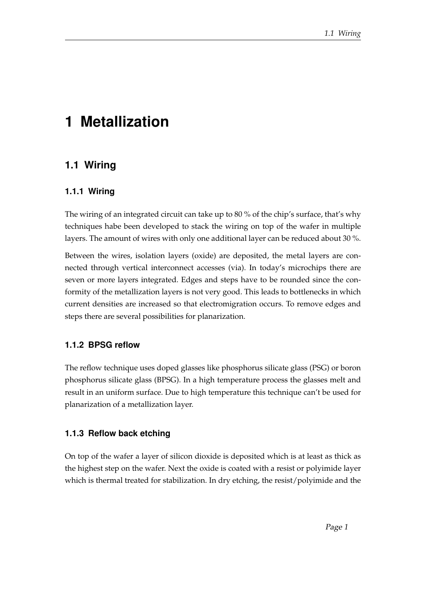# **1 Metallization**

# **1.1 Wiring**

#### **1.1.1 Wiring**

The wiring of an integrated circuit can take up to 80 % of the chip's surface, that's why techniques habe been developed to stack the wiring on top of the wafer in multiple layers. The amount of wires with only one additional layer can be reduced about 30 %.

Between the wires, isolation layers (oxide) are deposited, the metal layers are connected through vertical interconnect accesses (via). In today's microchips there are seven or more layers integrated. Edges and steps have to be rounded since the conformity of the metallization layers is not very good. This leads to bottlenecks in which current densities are increased so that electromigration occurs. To remove edges and steps there are several possibilities for planarization.

#### **1.1.2 BPSG reflow**

The reflow technique uses doped glasses like phosphorus silicate glass (PSG) or boron phosphorus silicate glass (BPSG). In a high temperature process the glasses melt and result in an uniform surface. Due to high temperature this technique can't be used for planarization of a metallization layer.

#### **1.1.3 Reflow back etching**

On top of the wafer a layer of silicon dioxide is deposited which is at least as thick as the highest step on the wafer. Next the oxide is coated with a resist or polyimide layer which is thermal treated for stabilization. In dry etching, the resist/polyimide and the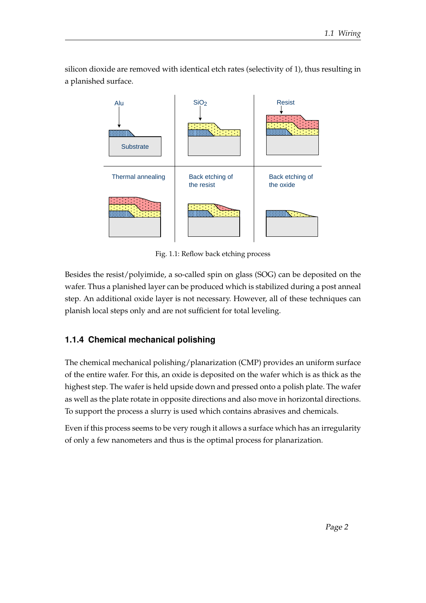silicon dioxide are removed with identical etch rates (selectivity of 1), thus resulting in a planished surface.



Fig. 1.1: Reflow back etching process

Besides the resist/polyimide, a so-called spin on glass (SOG) can be deposited on the wafer. Thus a planished layer can be produced which is stabilized during a post anneal step. An additional oxide layer is not necessary. However, all of these techniques can planish local steps only and are not sufficient for total leveling.

# **1.1.4 Chemical mechanical polishing**

The chemical mechanical polishing/planarization (CMP) provides an uniform surface of the entire wafer. For this, an oxide is deposited on the wafer which is as thick as the highest step. The wafer is held upside down and pressed onto a polish plate. The wafer as well as the plate rotate in opposite directions and also move in horizontal directions. To support the process a slurry is used which contains abrasives and chemicals.

Even if this process seems to be very rough it allows a surface which has an irregularity of only a few nanometers and thus is the optimal process for planarization.